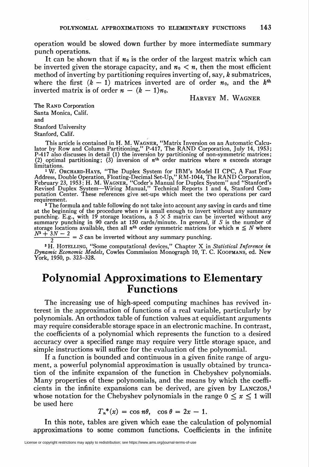operation would be slowed down further by more intermediate summary punch operations.

It can be shown that if  $n_0$  is the order of the largest matrix which can be inverted given the storage capacity, and  $n_0 < n$ , then the most efficient method of inverting by partitioning requires inverting of, say, k submatrices, where the first  $(k - 1)$  matrices inverted are of order  $n_0$ , and the  $k^{\text{th}}$ inverted matrix is of order  $n - (k - 1)n_0$ .

## Harvey M. Wagner

The RAND Corporation Santa Monica, Calif. and Stanford University Stanford, Calif.

This article is contained in H. M. Wagner, "Matrix Inversion on an Automatic Calcu-lator by Row and Column Partitioning," P-417, The RAND Corporation, July 14, 1953; P-417 also discusses in detail (1) the inversion by partitioning of non-symmetric matrices<br>(2) optimal partitioning; (3) inversion of  $n^{\text{th}}$  order matrices where n exceeds storage limitations.

<sup>1</sup>W. Orchard-Hays, "The Duplex System for IBM's Model II CPC, A Fast Four Address, Double Operation, Floating-Decimal Set-Up," RM-1044, The RAND Corporation<br>February 23, 1953; H. M. WAGNER, "Coder's Manual for Duplex System" and "Stanford"<br>Revised Duplex System—Wiring Manual," Technical Reports putation Center. These references give set-ups which meet the two operations per card requirement.

<sup>2</sup> The formula and table following do not take into account any saving in cards and time at the beginning of the procedure when  $r$  is small enough to invert without any summary punching. E.g., with 19 storage locations, a  $5 \times 5$  matrix can be inverted without any summary punching in 90 cards at 150 cards/minute. In general, if S is the number of storage locations available, then all  $n^{th}$  orde  $\frac{N^2 + 3N - 2}{N^2 + 3N - 2} = S$  can be inverted without any summary punching.

<sup>3</sup>H. HOTELLING, "Some computational devices," Chapter X in Statistical Inference in Dynamic Economic Models, Cowles Commission Monograph 10, T. C. KOOPMANS, ed. Nev York, 1950, p. 323-328.

# Polynomial Approximations to Elementary Functions

The increasing use of high-speed computing machines has revived interest in the approximation of functions of a real variable, particularly by polynomials. An orthodox table of function values at equidistant arguments may require considerable storage space in an electronic machine. In contrast, the coefficients of a polynomial which represents the function to a desired accuracy over a specified range may require very little storage space, and simple instructions will suffice for the evaluation of the polynomial.

If a function is bounded and continuous in a given finite range of argument, a powerful polynomial approximation is usually obtained by truncation of the infinite expansion of the function in Chebyshev polynomials. Many properties of these polynomials, and the means by which the coefficients in the infinite expansions can be derived, are given by LANCZOS,<sup>1</sup> whose notation for the Chebyshev polynomials in the range  $0 \le x \le 1$  will be used here

$$
T_n^*(x) = \cos n\theta, \quad \cos \theta = 2x - 1.
$$

In this note, tables are given which ease the calculation of polynomial approximations to some common functions, Coefficients in the infinite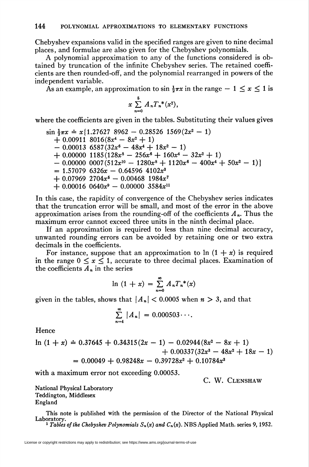Chebyshev expansions valid in the specified ranges are given to nine decimal places, and formulae are also given for the Chebyshev polynomials.

A polynomial approximation to any of the functions considered is obtained by truncation of the infinite Chebyshev series. The retained coefficients are then rounded-off, and the polynomial rearranged in powers of the independent variable.

As an example, an approximation to  $\sin \frac{1}{2}\pi x$  in the range  $-1 \le x \le 1$  is

$$
x \sum_{n=0}^{5} A_n T_n^{*}(x^2),
$$

where the coefficients are given in the tables. Substituting their values gives

$$
\sin \frac{1}{2}\pi x \doteq x \{1.27627 \ 8962 - 0.28526 \ 1569(2x^2 - 1) + 0.00911 \ 8016(8x^4 - 8x^2 + 1) - 0.00013 \ 6587(32x^6 - 48x^4 + 18x^2 - 1) + 0.00000 \ 1185(128x^8 - 256x^6 + 160x^4 - 32x^2 + 1) - 0.00000 \ 0007(512x^{10} - 1280x^8 + 1120x^6 - 400x^4 + 50x^2 - 1) = 1.57079 \ 6326x - 0.64596 \ 4102x^3 + 0.07969 \ 2704x^5 - 0.00468 \ 1984x^7 + 0.00016 \ 0640x^9 - 0.00000 \ 3584x^{11}
$$

In this case, the rapidity of convergence of the Chebyshev series indicates that the truncation error will be small, and most of the error in the above approximation arises from the rounding-off of the coefficients  $A_n$ . Thus the maximum error cannot exceed three units in the ninth decimal place.

If an approximation is required to less than nine decimal accuracy, unwanted rounding errors can be avoided by retaining one or two extra decimals in the coefficients.

For instance, suppose that an approximation to  $\ln (1 + x)$  is required in the range  $0 \le x \le 1$ , accurate to three decimal places. Examination of the coefficients  $A_n$  in the series

$$
\ln (1+x) = \sum_{n=0}^{\infty} A_n T_n^{*}(x)
$$

given in the tables, shows that  $\vert A_n \vert < 0.0005$  when  $n > 3$ , and that

$$
\sum_{n=4}^{\infty} |A_n| = 0.000503\cdots.
$$

Hence

$$
\begin{aligned} \n\ln\left(1+x\right) &= 0.37645 + 0.34315(2x - 1) - 0.02944(8x^2 - 8x + 1) \\ \n&\quad + 0.00337(32x^3 - 48x^2 + 18x - 1) \\ \n&= 0.00049 + 0.98248x - 0.39728x^2 + 0.10784x^3 \n\end{aligned}
$$

with a maximum error not exceeding 0.00053.

C. W. Clenshaw

National Physical Laboratory Teddington, Middlesex England

This note is published with the permission of the Director of the National Physical Laboratory. <sup>1</sup> Tables of the Chebyshev Polynomials  $S_n(x)$  and  $C_n(x)$ . NBS Applied Math. series 9, 1952.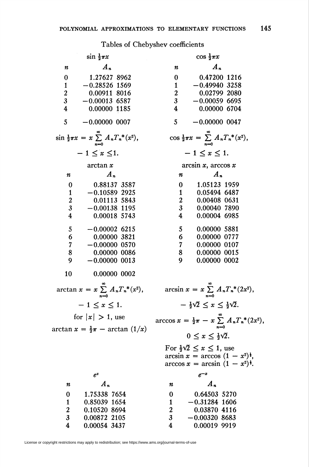### Tables of Chebyshev coefficient

| $\sin \frac{1}{2}\pi x$                                           | $\cos \frac{1}{2}\pi x$                                                                          |
|-------------------------------------------------------------------|--------------------------------------------------------------------------------------------------|
| $A_n$                                                             | $A_n$                                                                                            |
| n                                                                 | n                                                                                                |
| 1.27627 8962                                                      | 0.47200 1216                                                                                     |
| 0                                                                 | 0                                                                                                |
| $-0.28526$ 1569                                                   | $-0.49940$ 3258                                                                                  |
| 1                                                                 | $\mathbf{1}$                                                                                     |
| $\boldsymbol{2}$                                                  | $\boldsymbol{2}$                                                                                 |
| 0.00911 8016                                                      | 0.02799 2080                                                                                     |
| $\overline{\mathbf{3}}$                                           | 3                                                                                                |
| $-0.00013$ 6587                                                   | $-0.000596695$                                                                                   |
| 4                                                                 | 4                                                                                                |
| 0.00000 1185                                                      | 0.00000 6704                                                                                     |
| 5                                                                 | 5                                                                                                |
| $-0.00000$ 0007                                                   | $-0.00000$ 0047                                                                                  |
| $\sin \frac{1}{2}\pi x = x \sum_{n=0}^{\infty} A_n T_n^{*}(x^2),$ | $\cos \frac{1}{2}\pi x = \sum_{n=0}^{\infty} A_n T_n^*(x^2),$                                    |
| $-1 \leq x \leq 1$ .                                              | $-1 \leq x \leq 1$ .                                                                             |
| arctan x                                                          | $arcsin x$ , $arccos x$                                                                          |
| $A_n$                                                             | $\mathbf{A}_n$                                                                                   |
| n                                                                 | n                                                                                                |
| 0.88137 3587                                                      | 1.05123 1959                                                                                     |
| 0                                                                 | 0                                                                                                |
| $-0.10589$ 2925                                                   | 1                                                                                                |
| $\mathbf{1}$                                                      | 0.05494 6487                                                                                     |
| $\frac{2}{3}$                                                     | $\frac{2}{3}$                                                                                    |
| 0.01113 5843                                                      | 0.00408 0631                                                                                     |
| $-0.00138$ 1195                                                   | 0.00040 7890                                                                                     |
| $\overline{\mathbf{4}}$                                           | $\overline{\mathbf{4}}$                                                                          |
| 0.00018 5743                                                      | 0.00004 6985                                                                                     |
| 5                                                                 | 5                                                                                                |
| $-0.00002$ 6215                                                   | 0.00000 5881                                                                                     |
| 6                                                                 | 6                                                                                                |
| 0.00000 3821                                                      | 0.00000 0777                                                                                     |
| 7 <sup>7</sup>                                                    | $\overline{7}$                                                                                   |
| $-0.00000$ 0570                                                   | 0.00000 0107                                                                                     |
| 8                                                                 | 8                                                                                                |
| 0.00000 0086                                                      | 0.00000 0015                                                                                     |
| $-0.00000$ 0013                                                   | 0.00000 0002                                                                                     |
| 9                                                                 | 9                                                                                                |
| 10<br>0.00000 0002                                                |                                                                                                  |
| $\arctan x = x \sum_{n=0}^{\infty} A_n T_n^{*}(x^2),$             | $\arcsin x = x \sum_{n=0}^{\infty} A_n T_n^{*}(2x^2),$                                           |
| $-1 \leq x \leq 1.$                                               | $-\frac{1}{2}\sqrt{2} \leq x \leq \frac{1}{2}\sqrt{2}$ .                                         |
| for $ x  > 1$ , use                                               | $\arccos x = \frac{1}{2}\pi - x \sum_{n=0}^{\infty} A_n T_n^*(2)$                                |
| $\arctan x = \frac{1}{2}\pi - \arctan (1/x)$                      | $0 \leq x \leq \frac{1}{2}\sqrt{2}$ .                                                            |
|                                                                   | For $\frac{1}{2}\sqrt{2} \leq x \leq 1$ , use                                                    |
|                                                                   |                                                                                                  |
|                                                                   | arcsin $x = \arccos (1 - x^2)^{\frac{1}{2}}$ ,<br>arccos $x = \arcsin (1 - x^2)^{\frac{1}{2}}$ . |
| $e^x$                                                             | $e^{-x}$                                                                                         |
| $A_n$                                                             | $\boldsymbol{A}_n$                                                                               |
| n                                                                 | n                                                                                                |
| 1.75338 7654                                                      | 0.64503 5270                                                                                     |
| 0                                                                 | $\bf{0}$                                                                                         |
| $\mathbf{1}$                                                      | $-0.31284$ 1606                                                                                  |
| 0.85039 1654                                                      | $\mathbf{1}$                                                                                     |
| $\overline{\mathbf{c}}$                                           | $\boldsymbol{2}$                                                                                 |
| 0.10520 8694                                                      | 0.03870 4116                                                                                     |
| 3                                                                 | 3                                                                                                |
| 0.00872 2105                                                      | $-0.00320$ 8683                                                                                  |
| 4                                                                 | 4                                                                                                |
| 0.00054 3437                                                      | 0.00019 9919                                                                                     |
|                                                                   |                                                                                                  |

License or copyright restrictions may apply to redistribution; see https://www.ams.org/journal-terms-of-use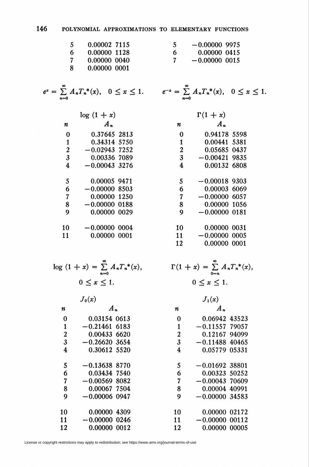#### 146 POLYNOMIAL APPROXIMATIONS TO ELEMENTARY FUNCTIONS

|    | 0.00002 7115 |   | $-0.000009975$  |
|----|--------------|---|-----------------|
| 6  | 0.00000 1128 | 6 | 0.00000 0415    |
|    | 0.00000 0040 |   | $-0.00000$ 0015 |
| -8 | 0.00000 0001 |   |                 |

 $e^{-x} = \sum_{n=0}^{\infty} A_n T_n^{*}(x), \quad 0 \leq x \leq 1.$ 

 $\Gamma(1+x)$  $\boldsymbol{A}_n$ 

0.94178 5598

0.00441 5381

0.05685 0437

0.00132 6808

 $-0.00421$  9835

 $-0.00018$  9303

 $-0.00000$  6057

 $-0.00000$  0181

 $-0.00000$  0005

 $\Gamma(1+x) = \sum_{0=n}^{\infty} A_n T_n^{*}(x),$ 

 $0 \leq x \leq 1$ .

0.00003 6069

0.00000 1056

0.00000 0031

0.00000 0001

 $\boldsymbol{n}$ 

 $\mathbf 0$ 

 $\mathbf{1}$ 

 $\overline{2}$ 

 $\overline{\mathbf{3}}$ 

 $\overline{\mathbf{4}}$ 

5

6

 $\overline{7}$ 

8

 $\mathbf Q$ 

10

11

12

$$
e^x = \sum_{n=0}^{\infty} A_n T_n^*(x), \quad 0 \le x \le 1.
$$

 $log(1 + x)$  $\mathcal{A}_n$  $\boldsymbol{n}$ 0.37645 2813  $\mathbf{0}$ 0.34314 5750  $\mathbf{1}$  $\overline{2}$  $-0.02943$  7252  $\overline{3}$ 0.00336 7089  $\overline{4}$  $-0.00043$  3276 5 0.00005 9471 6  $-0.000008503$  $\overline{7}$ 0.00000 1250 8  $-0.00000$  0188  $\mathbf Q$ 0.00000 0029  $-0.00000$  0004 10 0.00000.0001  $11$ 

| . .                      | <b>UNUOU VUUL</b> |              |  |                          |     |
|--------------------------|-------------------|--------------|--|--------------------------|-----|
|                          |                   |              |  |                          |     |
|                          |                   |              |  |                          |     |
| the property of the con- | ∞                 | <b>STATE</b> |  | <b>Contract Contract</b> | . . |

$$
\log (1 + x) = \sum_{n=0} A_n T_n^*(x)
$$

$$
0 \le x \le 1.
$$

|                | $J_0(x)$         |    | $J_1(x)$         |
|----------------|------------------|----|------------------|
| n              | $A_n$            | n  | A "              |
| 0              | 0.03154 0613     | 0  | 0.06942 43523    |
| $\mathbf{1}$   | $-0.21461$ 6183  | 1  | $-0.11557$ 79057 |
| $\overline{a}$ | 0.00433 6620     | 2  | 0.12167 94099    |
| 3              | $-0.26620, 3654$ | 3  | $-0.11488$ 40465 |
| 4              | 0.30612 5520     | 4  | 0.05779 05331    |
| 5              | $-0.13638$ 8770  | 5  | $-0.01692$ 38801 |
| 6              | 0.03434 7540     | 6  | 0.00323 50252    |
| 7              | $-0.00569$ 8082  | 7  | $-0.00043$ 70609 |
| 8              | 0.00067 7504     | 8  | 0.00004 40991    |
| 9              | $-0.00006$ 0947  | 9  | $-0.0000034583$  |
| 10             | 0.00000 4309     | 10 | 0.00000 02172    |
| 11             | $-0.00000$ 0246  | 11 | $-0.00000$ 00112 |
| 12             | 0.00000 0012     | 12 | 0.00000 00005    |